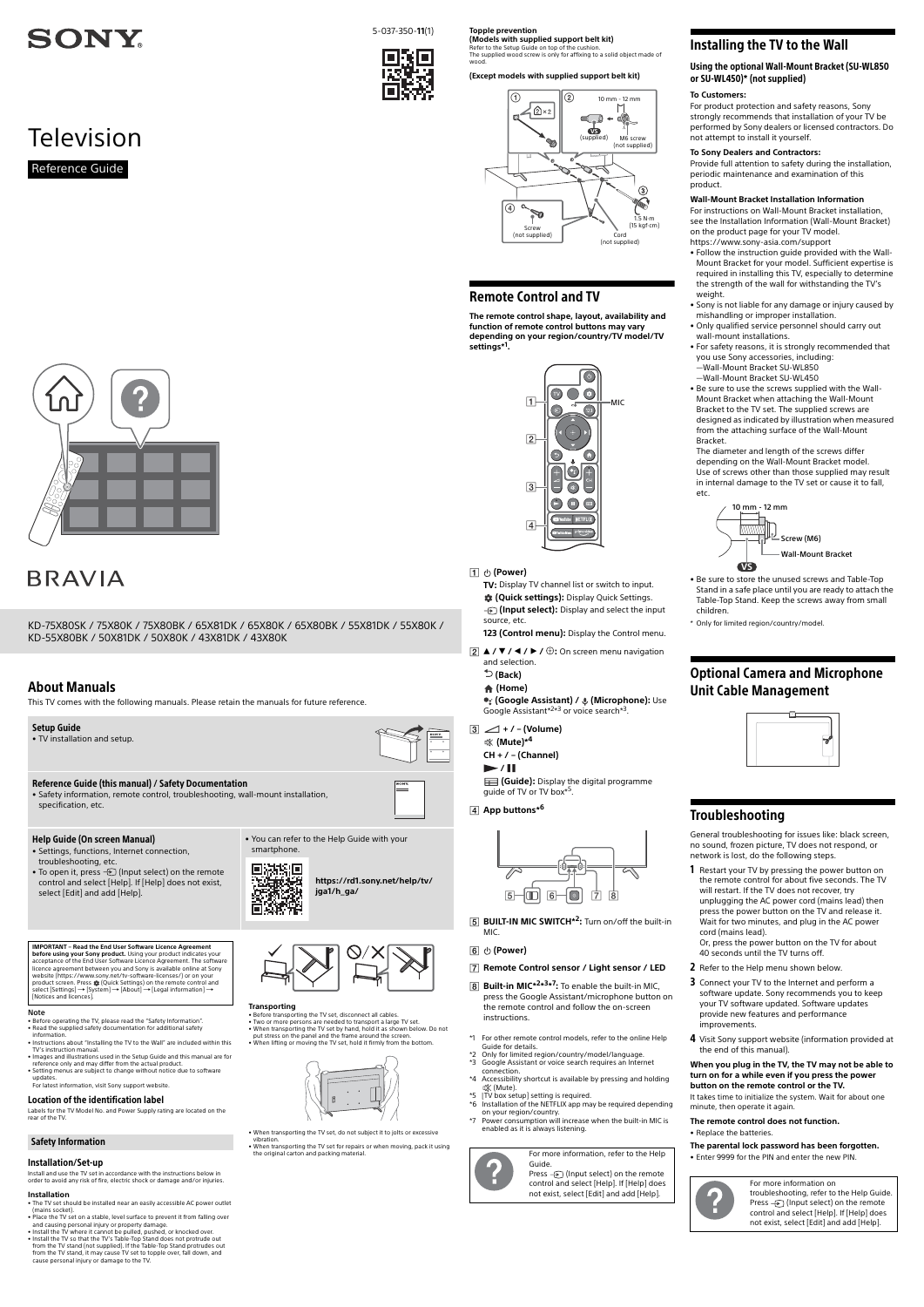# **SONY**

**Television** 

# About Manuals

This TV comes with the following manuals. Please retain the manuals for future reference.

#### Note

- Before operating the TV, please read the ["Safety Information](#page-0-0) • Read the supplied safety documentation for additional safety information.
- Instructions about ["Installing the TV to the Wall"](#page-0-1) are included within this
- TV's instruction manual. Images and illustrations used in the Setup Guide and this manual are for reference only and may differ from the actual product.
- Setting menus are subject to change without notice due to software updates.
- For latest information, visit Sony support website.

#### Location of the identification label

Labels for the TV Model No. and Power Supply rating are located on the rear of the TV.

• Before transporting the TV set, disconnect all cables. • Two or more persons are needed to transport a large TV set. • When transporting the TV set by hand, hold it as shown below. Do not put stress on the panel and the frame around the screen. • When lifting or moving the TV set, hold it firmly from the bottom.



#### Installation/Set-up

Install and use the TV set in accordance with the instructions below in order to avoid any risk of fire, electric shock or damage and/or injuries.

#### **Installation**

- The TV set should be installed near an easily accessible AC power outlet (mains socket).
- Place the TV set on a stable, level surface to prevent it from falling over
- and causing personal injury or property damage. Install the TV where it cannot be pulled, pushed, or knocked over.

• Install the TV so that the TV's Table-Top Stand does not protrude out from the TV stand (not supplied). If the Table-Top Stand protrudes out from the TV stand, it may cause TV set to topple over, fall down, and cause personal injury or damage to the TV.



#### **Transporting**

• When transporting the TV set, do not subject it to jolts or excessive vibration.

- **2** ▲ / ▼ / ◀ / ▶ / ⊕: On screen menu navigation
	- and selection.  **(Back)**

 **(Google Assistant) / (Microphone):** Use Google Assistant<sup>\*2\*3</sup> or voice search<sup>\*3</sup>.

• When transporting the TV set for repairs or when moving, pack it using the original carton and packing material.



**BUILT-IN MIC SWITCH\*2:** Turn on/off the built-in MIC.

## Setup Guide

• TV installation and setup.



- **6**  $\cup$  (Power)
- **Remote Control sensor / Light sensor / LED**
	-



• Safety information, remote control, troubleshooting, wall-mount installation, specification, etc.

### Help Guide (On screen Manual)

- Settings, functions, Internet connection, troubleshooting, etc.
- To open it, press  $\bigoplus$  (Input select) on the remote control and select [Help]. If [Help] does not exist, select [Edit] and add [Help].

**IMPORTANT - Read the End User Software Licence Agreement before using your Sony product.** Using your product indicates your<br>acceptance of the End User Software Licence Agreement. The software<br>licence agreement between you and Sony is available online at Sony website (https://www.sony.net/tv-software-licenses/) or on your product screen. Press ☆ (Quick Settings) on the remote control and<br>select [Settings] → [System] → [About] → [Legal information] →





- **B** Built-in MIC<sup>\*2\*3\*7</sup>: To enable the built-in MIC, press the Google Assistant/microphone button on the remote control and follow the on-screen instructions.
- \*1 For other remote control models, refer to the online Help Guide for details.
- \*2 Only for limited region/country/model/language.
- Google Assistant or voice search requires an Internet connection.
- \*4 Accessibility shortcut is available by pressing and holding (Mute).
- \*5 [TV box setup] setting is required.
- \*6 Installation of the NETFLIX app may be required depending on your region/country.
- \*7 Power consumption will increase when the built-in MIC is enabled as it is always listening.

• You can refer to the Help Guide with your smartphone.

> **[https://rd1.sony.net/help/tv/](https://rd1.sony.net/help/tv/jga1/h_ga/) jga1/h\_ga/**

Select [Scttlings]. [5]

#### <span id="page-0-0"></span>Safety Information

**Topple prevention (Models with supplied support belt kit)**

Refer to the Setup Guide on top of the cushion. The supplied wood screw is only for affixing to a solid object made of wood.

## **(Except models with supplied support belt kit)**

# Remote Control and TV

**The remote control shape, layout, availability and function of remote control buttons may vary depending on your region/country/TV model/TV settings\*1 .**

# **(Power)**

 $\sqrt{4}$ 

**TV:** Display TV channel list or switch to input.  **(Quick settings):** Display Quick Settings. *{* (Input select): Display and select the input source, etc.

**123 (Control menu):** Display the Control menu.

# **(Home)**

```
 + / – (Volume)
```
 **(Mute)\*4 CH + / – (Channel)**

 $\blacktriangleright$  /  $\blacksquare$ 

**(Guide):** Display the digital programme guide of TV or TV box<sup>\*5</sup>.

### **App buttons\*6**

Press  $\bigoplus$  (Input select) on the remote control and select [Help]. If [Help] does not exist, select [Edit] and add [Help].

# <span id="page-0-1"></span>Installing the TV to the Wall

Using the optional Wall-Mount Bracket (SU-WL850 or SU-WL450)\* (not supplied)

# **To Customers:**

For product protection and safety reasons, Sony strongly recommends that installation of your TV be performed by Sony dealers or licensed contractors. Do not attempt to install it yourself.

## **To Sony Dealers and Contractors:**

Provide full attention to safety during the installation, periodic maintenance and examination of this product.

## **Wall-Mount Bracket Installation Information**

For instructions on Wall-Mount Bracket installation, see the Installation Information (Wall-Mount Bracket) on the product page for your TV model. https://www.sony-asia.com/support

- Follow the instruction guide provided with the Wall-Mount Bracket for your model. Sufficient expertise is required in installing this TV, especially to determine the strength of the wall for withstanding the TV's weight.
- Sony is not liable for any damage or injury caused by mishandling or improper installation.
- Only qualified service personnel should carry out wall-mount installations.
- For safety reasons, it is strongly recommended that you use Sony accessories, including: —Wall-Mount Bracket SU-WL850
- —Wall-Mount Bracket SU-WL450

• Be sure to use the screws supplied with the Wall-Mount Bracket when attaching the Wall-Mount Bracket to the TV set. The supplied screws are designed as indicated by illustration when measured from the attaching surface of the Wall-Mount Bracket.

The diameter and length of the screws differ depending on the Wall-Mount Bracket model. Use of screws other than those supplied may result in internal damage to the TV set or cause it to fall, etc.

- Be sure to store the unused screws and Table-Top Stand in a safe place until you are ready to attach the Table-Top Stand. Keep the screws away from small children.
- \* Only for limited region/country/model.

# Optional Camera and Microphone Unit Cable Management



# Troubleshooting

General troubleshooting for issues like: black screen, no sound, frozen picture, TV does not respond, or network is lost, do the following steps.

- 1 Restart your TV by pressing the power button on the remote control for about five seconds. The TV will restart. If the TV does not recover, try unplugging the AC power cord (mains lead) then press the power button on the TV and release it. Wait for two minutes, and plug in the AC power cord (mains lead).
- Or, press the power button on the TV for about 40 seconds until the TV turns off.
- 2 Refer to the Help menu shown below.
- 3 Connect your TV to the Internet and perform a



# **BRAVIA**



4 Visit Sony support website (information provided at the end of this manual).

#### **When you plug in the TV, the TV may not be able to turn on for a while even if you press the power button on the remote control or the TV.**

It takes time to initialize the system. Wait for about one minute, then operate it again.

#### **The remote control does not function.**

• Replace the batteries.

#### **The parental lock password has been forgotten.**

• Enter 9999 for the PIN and enter the new PIN. For more information, refer to the Help



# Guide.







For more information on troubleshooting, refer to the Help Guide. Press  $\bigoplus$  (Input select) on the remote control and select [Help]. If [Help] does not exist, select [Edit] and add [Help].



5-037-350-**11**(1)



KD-75X80SK / 75X80K / 75X80BK / 65X81DK / 65X80K / 65X80BK / 55X81DK / 55X80K / KD-55X80BK / 50X81DK / 50X80K / 43X81DK / 43X80K

Reference Guide